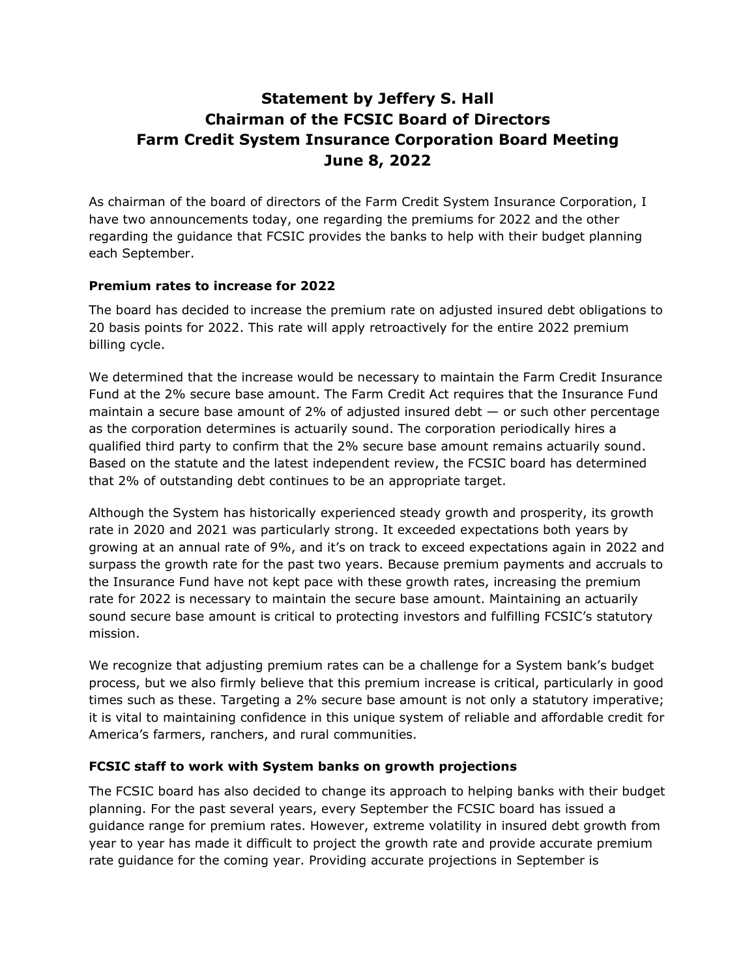## **Statement by Jeffery S. Hall Chairman of the FCSIC Board of Directors Farm Credit System Insurance Corporation Board Meeting June 8, 2022**

As chairman of the board of directors of the Farm Credit System Insurance Corporation, I have two announcements today, one regarding the premiums for 2022 and the other regarding the guidance that FCSIC provides the banks to help with their budget planning each September.

## **Premium rates to increase for 2022**

The board has decided to increase the premium rate on adjusted insured debt obligations to 20 basis points for 2022. This rate will apply retroactively for the entire 2022 premium billing cycle.

We determined that the increase would be necessary to maintain the Farm Credit Insurance Fund at the 2% secure base amount. The Farm Credit Act requires that the Insurance Fund maintain a secure base amount of 2% of adjusted insured debt  $-$  or such other percentage as the corporation determines is actuarily sound. The corporation periodically hires a qualified third party to confirm that the 2% secure base amount remains actuarily sound. Based on the statute and the latest independent review, the FCSIC board has determined that 2% of outstanding debt continues to be an appropriate target.

Although the System has historically experienced steady growth and prosperity, its growth rate in 2020 and 2021 was particularly strong. It exceeded expectations both years by growing at an annual rate of 9%, and it's on track to exceed expectations again in 2022 and surpass the growth rate for the past two years. Because premium payments and accruals to the Insurance Fund have not kept pace with these growth rates, increasing the premium rate for 2022 is necessary to maintain the secure base amount. Maintaining an actuarily sound secure base amount is critical to protecting investors and fulfilling FCSIC's statutory mission.

We recognize that adjusting premium rates can be a challenge for a System bank's budget process, but we also firmly believe that this premium increase is critical, particularly in good times such as these. Targeting a 2% secure base amount is not only a statutory imperative; it is vital to maintaining confidence in this unique system of reliable and affordable credit for America's farmers, ranchers, and rural communities.

## **FCSIC staff to work with System banks on growth projections**

The FCSIC board has also decided to change its approach to helping banks with their budget planning. For the past several years, every September the FCSIC board has issued a guidance range for premium rates. However, extreme volatility in insured debt growth from year to year has made it difficult to project the growth rate and provide accurate premium rate guidance for the coming year. Providing accurate projections in September is